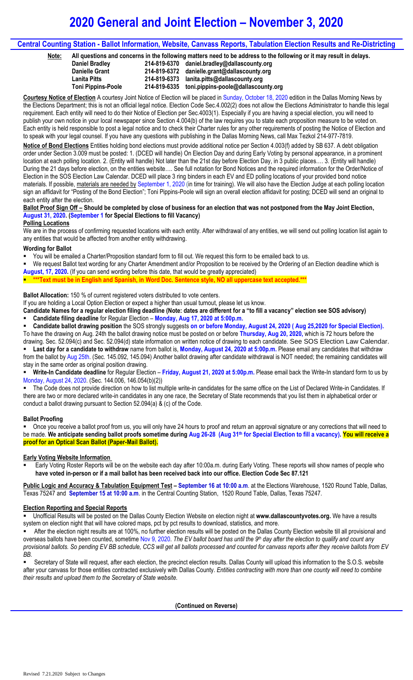# **2020 General and Joint Election – November 3, 2020**

## **Central Counting Station - Ballot Information, Website, Canvass Reports, Tabulation Election Results and Re-Districting**

**Note: All questions and concerns in the following matters need to be address to the following or it may result in delays.**

| Daniel Bradley            | 214-819-6370 daniel.bradley@dallascounty.org     |
|---------------------------|--------------------------------------------------|
| <b>Danielle Grant</b>     | 214-819-6372 danielle.grant@dallascounty.org     |
| <b>Lanita Pitts</b>       | 214-819-6373 lanita.pitts@dallascounty.org       |
| <b>Toni Pippins-Poole</b> | 214-819-6335 toni.pippins-poole@dallascounty.org |

**Courtesy Notice of Election** A courtesy Joint Notice of Election will be placed in Sunday, October 18, 2020 edition in the Dallas Morning News by the Elections Department; this is not an official legal notice. Election Code Sec.4.002(2) does not allow the Elections Administrator to handle this legal requirement. Each entity will need to do their Notice of Election per Sec.4003(1). Especially if you are having a special election, you will need to publish your own notice in your local newspaper since Section 4.004(b) of the law requires you to state each proposition measure to be voted on. Each entity is held responsible to post a legal notice and to check their Charter rules for any other requirements of posting the Notice of Election and to speak with your legal counsel. If you have any questions with publishing in the Dallas Morning News, call Max Tezkol 214-977-7819.

**Notice of Bond Elections** Entities holding bond elections must provide additional notice per Section 4.003(f) added by SB 637. A debt obligation order under Section 3.009 must be posted: 1. (DCED will handle) On Election Day and during Early Voting by personal appearance, in a prominent location at each polling location. 2. (Entity will handle) Not later than the 21st day before Election Day, in 3 public places…. 3. (Entity will handle) During the 21 days before election, on the entities website…. See full notation for Bond Notices and the required information for the Order/Notice of Election in the SOS Election Law Calendar. DCED will place 3 ring binders in each EV and ED polling locations of your provided bond notice materials. If possible, materials are needed by September 1, 2020 (in time for training). We will also have the Election Judge at each polling location sign an affidavit for "Posting of the Bond Election"; Toni Pippins-Poole will sign an overall election affidavit for posting; DCED will send an original to each entity after the election.

### **Ballot Proof Sign Off – Should be completed by close of business for an election that was not postponed from the May Joint Election, August 31, 2020. (September 1 for Special Elections to fill Vacancy)**

#### **Polling Locations**

We are in the process of confirming requested locations with each entity. After withdrawal of any entities, we will send out polling location list again to any entities that would be affected from another entity withdrawing.

#### **Wording for Ballot**

- You will be emailed a Charter/Proposition standard form to fill out. We request this form to be emailed back to us.
- We request Ballot text wording for any Charter Amendment and/or Proposition to be received by the Ordering of an Election deadline which is **August, 17, 2020.** (If you can send wording before this date, that would be greatly appreciated)
- **\*\*\*Text must be in English and Spanish, in Word Doc. Sentence style, NO all uppercase text accepted.\*\*\***

**Ballot Allocation:** 150 % of current registered voters distributed to vote centers.

If you are holding a Local Option Election or expect a higher than usual turnout, please let us know.

**Candidate Names for a regular election filing deadline (Note: dates are different for a "to fill a vacancy" election see SOS advisory) Candidate filing deadline** for Regular Election – **Monday, Aug 17, 2020 at 5:00p.m.** 

 **Candidate ballot drawing position** the SOS strongly suggests **on or before Monday, August 24, 2020 ( Aug 25,2020 for Special Election).**  To have the drawing on Aug. 24th the ballot drawing notice must be posted on or before **Thursday, Aug 20, 2020,** which is 72 hours before the

drawing. Sec. 52.094(c) and Sec. 52.094(d) state information on written notice of drawing to each candidate. See SOS Election Law Calendar. **Last day for a candidate to withdraw** name from ballot is, **Monday, August 24, 2020 at 5:00p.m.** Please email any candidates that withdraw from the ballot by Aug 25th. (Sec. 145.092, 145.094) Another ballot drawing after candidate withdrawal is NOT needed; the remaining candidates will stay in the same order as original position drawing.

 **Write-In Candidate deadline** for Regular Election – **Friday, August 21, 2020 at 5:00p.m.** Please email back the Write-In standard form to us by Monday, August 24, 2020. (Sec. 144.006, 146.054(b)(2))

 The Code does not provide direction on how to list multiple write-in candidates for the same office on the List of Declared Write-in Candidates. If there are two or more declared write-in candidates in any one race, the Secretary of State recommends that you list them in alphabetical order or conduct a ballot drawing pursuant to Section 52.094(a) & (c) of the Code.

### **Ballot Proofing**

 Once you receive a ballot proof from us, you will only have 24 hours to proof and return an approval signature or any corrections that will need to be made. **We anticipate sending ballot proofs sometime during Aug 26-28 (Aug 31th for Special Election to fill a vacancy). You will receive a proof for an Optical Scan Ballot (Paper-Mail Ballot).**

### **Early Voting Website Information**

 Early Voting Roster Reports will be on the website each day after 10:00a.m. during Early Voting. These reports will show names of people who **have voted in-person or if a mail ballot has been received back into our office. Election Code Sec 87.121**

**Public Logic and Accuracy & Tabulation Equipment Test – September 16 at 10:00 a.m**. at the Elections Warehouse, 1520 Round Table, Dallas, Texas 75247 and **September 15 at 10:00 a.m**. in the Central Counting Station, 1520 Round Table, Dallas, Texas 75247.

### **Election Reporting and Special Reports**

 Unofficial Results will be posted on the Dallas County Election Website on election night at **www.dallascountyvotes.org.** We have a results system on election night that will have colored maps, pct by pct results to download, statistics, and more.

 After the election night results are at 100%, no further election results will be posted on the Dallas County Election website till all provisional and overseas ballots have been counted, sometime Nov 9, 2020. *The EV ballot board has until the 9 th day after the election to qualify and count any provisional ballots. So pending EV BB schedule, CCS will get all ballots processed and counted for canvass reports after they receive ballots from EV BB.*

 Secretary of State will request, after each election, the precinct election results. Dallas County will upload this information to the S.O.S. website after your canvass for those entities contracted exclusively with Dallas County. *Entities contracting with more than one county will need to combine their results and upload them to the Secretary of State website.*

**(Continued on Reverse)**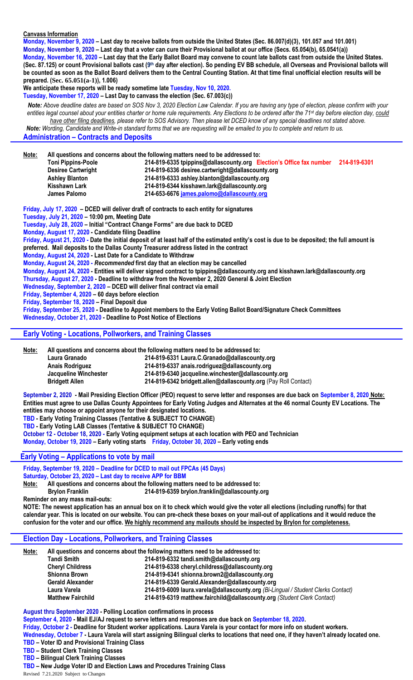#### **Canvass Information**

**Monday, November 9, 2020 – Last day to receive ballots from outside the United States (Sec. 86.007(d)(3), 101.057 and 101.001)**

**Monday, November 9, 2020 – Last day that a voter can cure their Provisional ballot at our office (Secs. 65.054(b), 65.0541(a))**

**Monday, November 16, 2020 – Last day that the Early Ballot Board may convene to count late ballots cast from outside the United States. (Sec. 87.125) or count Provisional ballots cast (9 th day after election)***.* **So pending EV BB schedule, all Overseas and Provisional ballots will be counted as soon as the Ballot Board delivers them to the Central Counting Station. At that time final unofficial election results will be prepared. (Sec. 65.051(a-1)), 1.006)**

**We anticipate these reports will be ready sometime late Tuesday, Nov 10, 2020.**

**Tuesday, November 17, 2020 – Last Day to canvass the election (Sec. 67.003(c))**

*Note: Above deadline dates are based on SOS Nov 3, 2020 Election Law Calendar. If you are having any type of election, please confirm with your entities legal counsel about your entities charter or home rule requirements. Any Elections to be ordered after the 71st day before election day, could have other filing deadlines, please refer to SOS Advisory. Then please let DCED know of any special deadlines not stated above. Note: Wording, Candidate and Write-in standard forms that we are requesting will be emailed to you to complete and return to us.*

**Administration – Contracts and Deposits**

**Note: All questions and concerns about the following matters need to be addressed to: Toni Pippins-Poole 214-819-6335 tpippins@dallascounty.org Election's Office fax number 214-819-6301 Desiree Cartwright 214-819-6336 desiree.cartwright@dallascounty.org Ashley Blanton 214-819-6333 ashley.blanton@dallascounty.org Kisshawn Lark 214-819-6344 kisshawn.lark@dallascounty.org James Palomo 214-653-6676 [james.palomo@dallascounty.org](mailto:james.palomo@dallascounty.org) Friday, July 17, 2020 – DCED will deliver draft of contracts to each entity for signatures Tuesday, July 21, 2020 – 10:00 pm, Meeting Date Tuesday, July 28, 2020 – Initial "Contract Change Forms" are due back to DCED Monday, August 17, 2020 - Candidate filing Deadline Friday, August 21, 2020 - Date the initial deposit of at least half of the estimated entity's cost is due to be deposited; the full amount is preferred. Mail deposits to the Dallas County Treasurer address listed in the contract**

**Monday, August 24, 2020 - Last Date for a Candidate to Withdraw**

**Monday, August 24, 2020 -** *Recommended* **first day that an election may be cancelled**

**Monday, August 24, 2020 - Entities will deliver signed contract to tpippins@dallascounty.org and kisshawn.lark@dallascounty.org**

**Thursday, August 27, 2020 - Deadline to withdraw from the November 2, 2020 General & Joint Election**

**Wednesday, September 2, 2020 – DCED will deliver final contract via email**

**Friday, September 4, 2020 – 60 days before election**

**Friday, September 18, 2020 – Final Deposit due** 

**Friday, September 25, 2020 - Deadline to Appoint members to the Early Voting Ballot Board/Signature Check Committees Wednesday, October 21, 2020 - Deadline to Post Notice of Elections**

### **Early Voting - Locations, Pollworkers, and Training Classes**

**Note: All questions and concerns about the following matters need to be addressed to:** 

**Laura Granado 214-819-6331 Laura.C.Granado@dallascounty.org**

**Anais Rodriguez 214-819-6337 anais.rodriguez@dallascounty.org**

**Jacqueline Winchester 214-819-6340 jacqueline.winchester@dallascounty.org**

**Bridgett Allen 214-819-6342 bridgett.allen@dallascounty.org** (Pay Roll Contact)

**September 2, 2020 - Mail Presiding Election Officer (PEO) request to serve letter and responses are due back on September 8, 2020 Note: Entities must agree to use Dallas County Appointees for Early Voting Judges and Alternates at the 46 normal County EV Locations. The entities may choose or appoint anyone for their designated locations.**

**TBD - Early Voting Training Classes (Tentative & SUBJECT TO CHANGE)**

**TBD - Early Voting LAB Classes (Tentative & SUBJECT TO CHANGE)**

**October 12 - October 18, 2020 - Early Voting equipment setups at each location with PEO and Technician**

**Monday, October 19, 2020 – Early voting starts Friday, October 30, 2020 – Early voting ends** 

#### **Early Voting – Applications to vote by mail**

**Friday, September 19, 2020 – Deadline for DCED to mail out FPCAs (45 Days) Saturday, October 23, 2020 – Last day to receive APP for BBM**

**Note: All questions and concerns about the following matters need to be addressed to:** 

 **Brylon Franklin 214-819-6359 brylon.franklin@dallascounty.org**

**Reminder on any mass mail-outs:**

**NOTE: The newest application has an annual box on it to check which would give the voter all elections (including runoffs) for that calendar year. This is located on our website. You can pre-check these boxes on your mail-out of applications and it would reduce the confusion for the voter and our office. We highly recommend any mailouts should be inspected by Brylon for completeness.**

### **Election Day - Locations, Pollworkers, and Training Classes**

| Note: | All questions and concerns about the following matters need to be addressed to: |                                                                                  |  |
|-------|---------------------------------------------------------------------------------|----------------------------------------------------------------------------------|--|
|       | <b>Tandi Smith</b>                                                              | 214-819-6332 tandi.smith@dallascounty.org                                        |  |
|       | <b>Cheryl Childress</b>                                                         | 214-819-6338 cheryl.childress@dallascounty.org                                   |  |
|       | <b>Shionna Brown</b>                                                            | 214-819-6341 shionna.brown2@dallascounty.org                                     |  |
|       | <b>Gerald Alexander</b>                                                         | 214-819-6339 Gerald.Alexander@dallascounty.org                                   |  |
|       | Laura Varela                                                                    | 214-819-6009 laura.varela@dallascounty.org (Bi-Lingual / Student Clerks Contact) |  |
|       | <b>Matthew Fairchild</b>                                                        | 214-819-6319 matthew.fairchild@dallascounty.org (Student Clerk Contact)          |  |

**August thru September 2020 - Polling Location confirmations in process September 4, 2020 - Mail EJ/AJ request to serve letters and responses are due back on September 18, 2020. Friday, October 2 - Deadline for Student worker applications. Laura Varela is your contact for more info on student workers. Wednesday, October 7 - Laura Varela will start assigning Bilingual clerks to locations that need one, if they haven't already located one. TBD – Voter ID and Provisional Training Class TBD – Student Clerk Training Classes**

**TBD – Bilingual Clerk Training Classes**

Revised 7.21.2020 Subject to Changes **TBD – New Judge Voter ID and Election Laws and Procedures Training Class**